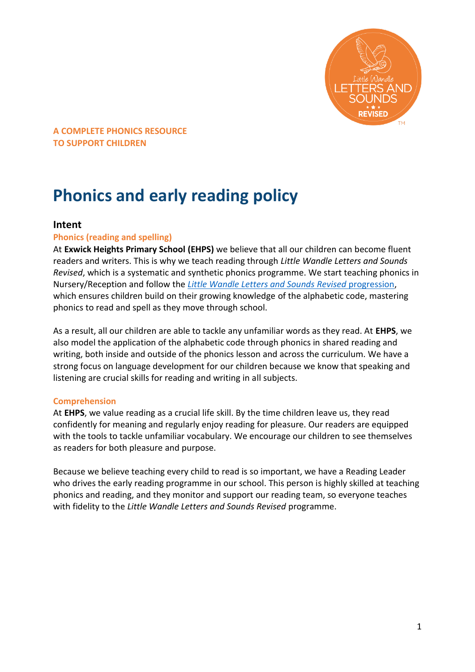

# **Phonics and early reading policy**

## **Intent**

#### **Phonics (reading and spelling)**

At **Exwick Heights Primary School (EHPS)** we believe that all our children can become fluent readers and writers. This is why we teach reading through *Little Wandle Letters and Sounds Revised*, which is a systematic and synthetic phonics programme. We start teaching phonics in Nursery/Reception and follow the *[Little Wandle Letters and Sounds Revised](https://www.littlewandlelettersandsounds.org.uk/wp-content/uploads/2021/06/Programme-Overview_Reception-and-Year-1.pdf)* progression, which ensures children build on their growing knowledge of the alphabetic code, mastering phonics to read and spell as they move through school.

As a result, all our children are able to tackle any unfamiliar words as they read. At **EHPS**, we also model the application of the alphabetic code through phonics in shared reading and writing, both inside and outside of the phonics lesson and across the curriculum. We have a strong focus on language development for our children because we know that speaking and listening are crucial skills for reading and writing in all subjects.

#### **Comprehension**

At **EHPS**, we value reading as a crucial life skill. By the time children leave us, they read confidently for meaning and regularly enjoy reading for pleasure. Our readers are equipped with the tools to tackle unfamiliar vocabulary. We encourage our children to see themselves as readers for both pleasure and purpose.

Because we believe teaching every child to read is so important, we have a Reading Leader who drives the early reading programme in our school. This person is highly skilled at teaching phonics and reading, and they monitor and support our reading team, so everyone teaches with fidelity to the *Little Wandle Letters and Sounds Revised* programme.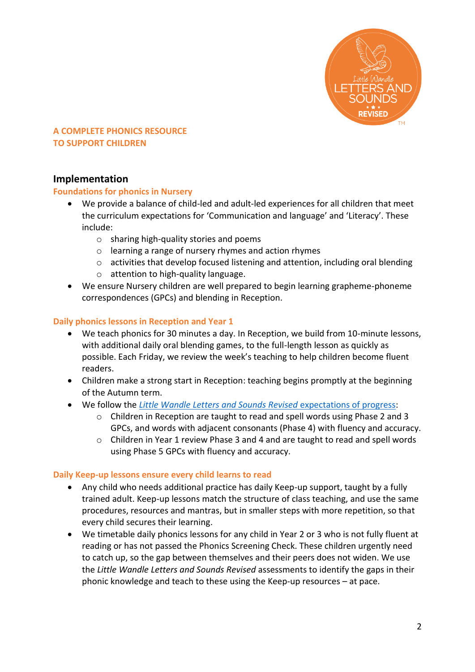

# **Implementation**

#### **Foundations for phonics in Nursery**

- We provide a balance of child-led and adult-led experiences for all children that meet the curriculum expectations for 'Communication and language' and 'Literacy'. These include:
	- o sharing high-quality stories and poems
	- o learning a range of nursery rhymes and action rhymes
	- o activities that develop focused listening and attention, including oral blending
	- o attention to high-quality language.
- We ensure Nursery children are well prepared to begin learning grapheme-phoneme correspondences (GPCs) and blending in Reception.

## **Daily phonics lessons in Reception and Year 1**

- We teach phonics for 30 minutes a day. In Reception, we build from 10-minute lessons, with additional daily oral blending games, to the full-length lesson as quickly as possible. Each Friday, we review the week's teaching to help children become fluent readers.
- Children make a strong start in Reception: teaching begins promptly at the beginning of the Autumn term.
- We follow the *[Little Wandle Letters and Sounds Revised](https://www.littlewandlelettersandsounds.org.uk/wp-content/uploads/2021/06/Programme-Overview_Reception-and-Year-1.pdf)* expectations of progress:
	- $\circ$  Children in Reception are taught to read and spell words using Phase 2 and 3 GPCs, and words with adjacent consonants (Phase 4) with fluency and accuracy.
	- o Children in Year 1 review Phase 3 and 4 and are taught to read and spell words using Phase 5 GPCs with fluency and accuracy.

#### **Daily Keep-up lessons ensure every child learns to read**

- Any child who needs additional practice has daily Keep-up support, taught by a fully trained adult. Keep-up lessons match the structure of class teaching, and use the same procedures, resources and mantras, but in smaller steps with more repetition, so that every child secures their learning.
- We timetable daily phonics lessons for any child in Year 2 or 3 who is not fully fluent at reading or has not passed the Phonics Screening Check. These children urgently need to catch up, so the gap between themselves and their peers does not widen. We use the *Little Wandle Letters and Sounds Revised* assessments to identify the gaps in their phonic knowledge and teach to these using the Keep-up resources – at pace.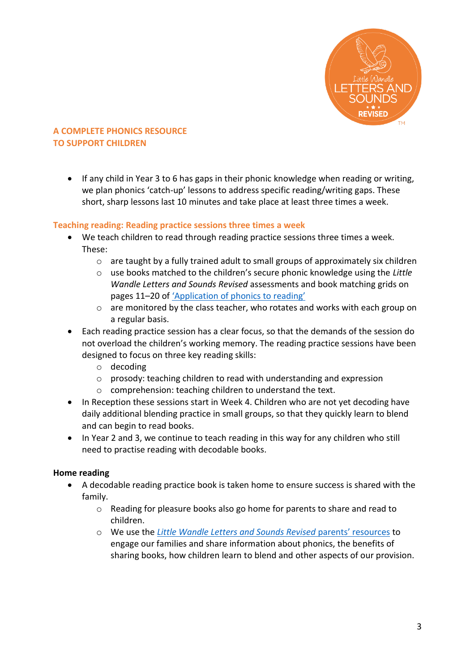

• If any child in Year 3 to 6 has gaps in their phonic knowledge when reading or writing, we plan phonics 'catch-up' lessons to address specific reading/writing gaps. These short, sharp lessons last 10 minutes and take place at least three times a week.

## **Teaching reading: Reading practice sessions three times a week**

- We teach children to read through reading practice sessions three times a week. These:
	- $\circ$  are taught by a fully trained adult to small groups of approximately six children
	- o use books matched to the children's secure phonic knowledge using the *Little Wandle Letters and Sounds Revised* assessments and book matching grids on pages 11–20 of ['Application of phonics to reading'](https://www.littlewandlelettersandsounds.org.uk/wp-content/uploads/2021/03/LS-KEY-GUIDANCE-APPLICATION-OF-PHONICS-FINAL-1.pdf)
	- o are monitored by the class teacher, who rotates and works with each group on a regular basis.
- Each reading practice session has a clear focus, so that the demands of the session do not overload the children's working memory. The reading practice sessions have been designed to focus on three key reading skills:
	- o decoding
	- o prosody: teaching children to read with understanding and expression
	- o comprehension: teaching children to understand the text.
- In Reception these sessions start in Week 4. Children who are not yet decoding have daily additional blending practice in small groups, so that they quickly learn to blend and can begin to read books.
- In Year 2 and 3, we continue to teach reading in this way for any children who still need to practise reading with decodable books.

## **Home reading**

- A decodable reading practice book is taken home to ensure success is shared with the family.
	- o Reading for pleasure books also go home for parents to share and read to children.
	- o We use the *[Little Wandle Letters and Sounds Revised](https://www.littlewandlelettersandsounds.org.uk/resources/for-parents/)* parents' resources to engage our families and share information about phonics, the benefits of sharing books, how children learn to blend and other aspects of our provision.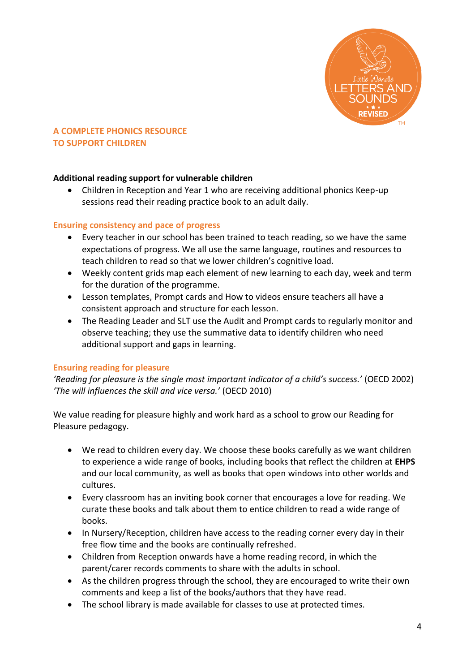

## **Additional reading support for vulnerable children**

 Children in Reception and Year 1 who are receiving additional phonics Keep-up sessions read their reading practice book to an adult daily.

## **Ensuring consistency and pace of progress**

- Every teacher in our school has been trained to teach reading, so we have the same expectations of progress. We all use the same language, routines and resources to teach children to read so that we lower children's cognitive load.
- Weekly content grids map each element of new learning to each day, week and term for the duration of the programme.
- Lesson templates, Prompt cards and How to videos ensure teachers all have a consistent approach and structure for each lesson.
- The Reading Leader and SLT use the Audit and Prompt cards to regularly monitor and observe teaching; they use the summative data to identify children who need additional support and gaps in learning.

#### **Ensuring reading for pleasure**

*'Reading for pleasure is the single most important indicator of a child's success.'* (OECD 2002) *'The will influences the skill and vice versa.'* (OECD 2010)

We value reading for pleasure highly and work hard as a school to grow our Reading for Pleasure pedagogy.

- We read to children every day. We choose these books carefully as we want children to experience a wide range of books, including books that reflect the children at **EHPS** and our local community, as well as books that open windows into other worlds and cultures.
- Every classroom has an inviting book corner that encourages a love for reading. We curate these books and talk about them to entice children to read a wide range of books.
- In Nursery/Reception, children have access to the reading corner every day in their free flow time and the books are continually refreshed.
- Children from Reception onwards have a home reading record, in which the parent/carer records comments to share with the adults in school.
- As the children progress through the school, they are encouraged to write their own comments and keep a list of the books/authors that they have read.
- The school library is made available for classes to use at protected times.